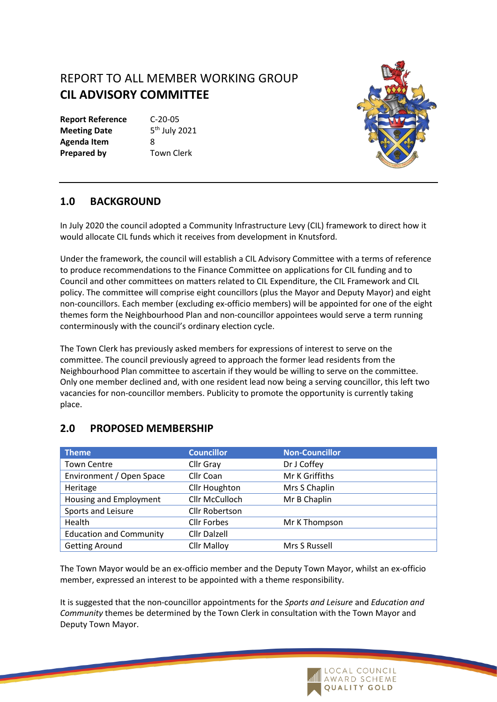# REPORT TO ALL MEMBER WORKING GROUP **CIL ADVISORY COMMITTEE**

**Report Reference** C-20-05 **Meeting Date Agenda Item** 8 **Prepared by Town Clerk** 

 $5<sup>th</sup>$  July 2021



#### **1.0 BACKGROUND**

In July 2020 the council adopted a Community Infrastructure Levy (CIL) framework to direct how it would allocate CIL funds which it receives from development in Knutsford.

Under the framework, the council will establish a CIL Advisory Committee with a terms of reference to produce recommendations to the Finance Committee on applications for CIL funding and to Council and other committees on matters related to CIL Expenditure, the CIL Framework and CIL policy. The committee will comprise eight councillors (plus the Mayor and Deputy Mayor) and eight non-councillors. Each member (excluding ex-officio members) will be appointed for one of the eight themes form the Neighbourhood Plan and non-councillor appointees would serve a term running conterminously with the council's ordinary election cycle.

The Town Clerk has previously asked members for expressions of interest to serve on the committee. The council previously agreed to approach the former lead residents from the Neighbourhood Plan committee to ascertain if they would be willing to serve on the committee. Only one member declined and, with one resident lead now being a serving councillor, this left two vacancies for non-councillor members. Publicity to promote the opportunity is currently taking place.

#### **Theme Councillor Councillor Non-Councillor** Town Centre Cllr Gray Dr J Coffey Environment / Open Space Cllr Coan Mr K Griffiths Heritage Cllr Houghton Mrs S Chaplin Housing and Employment Cllr McCulloch Mr B Chaplin Sports and Leisure Cllr Robertson Health Cllr Forbes Mr K Thompson Education and Community Cllr Dalzell Getting Around **Cllr Malloy** Mrs S Russell

### **2.0 PROPOSED MEMBERSHIP**

The Town Mayor would be an ex-officio member and the Deputy Town Mayor, whilst an ex-officio member, expressed an interest to be appointed with a theme responsibility.

It is suggested that the non-councillor appointments for the *Sports and Leisure* and *Education and Community* themes be determined by the Town Clerk in consultation with the Town Mayor and Deputy Town Mayor.

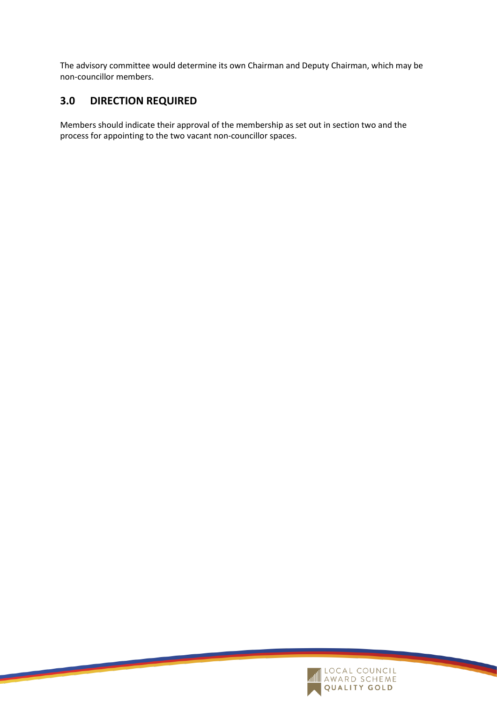The advisory committee would determine its own Chairman and Deputy Chairman, which may be non-councillor members.

## **3.0 DIRECTION REQUIRED**

Members should indicate their approval of the membership as set out in section two and the process for appointing to the two vacant non-councillor spaces.